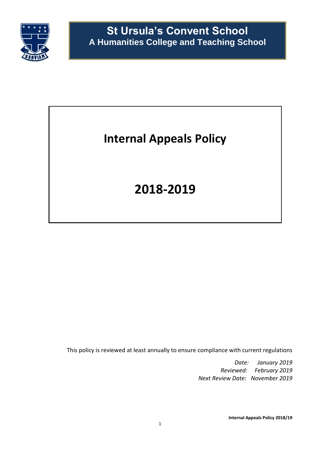

# **Internal Appeals Policy**

# **2018-2019**

This policy is reviewed at least annually to ensure compliance with current regulations

*Date: January 2019 Reviewed: February 2019 Next Review Date: November 2019*

**Internal Appeals Policy 2018/19**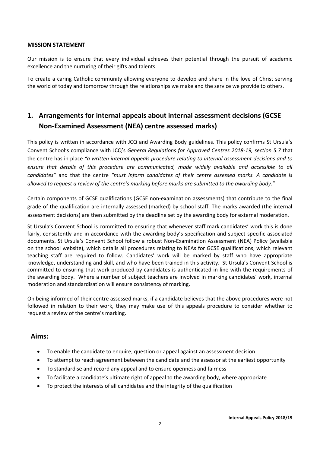#### **MISSION STATEMENT**

Our mission is to ensure that every individual achieves their potential through the pursuit of academic excellence and the nurturing of their gifts and talents.

To create a caring Catholic community allowing everyone to develop and share in the love of Christ serving the world of today and tomorrow through the relationships we make and the service we provide to others.

## **1. Arrangements for internal appeals about internal assessment decisions (GCSE Non-Examined Assessment (NEA) centre assessed marks)**

This policy is written in accordance with JCQ and Awarding Body guidelines. This policy confirms St Ursula's Convent School's compliance with JCQ's *General Regulations for Approved Centres 2018-19, section 5.7* that the centre has in place *"a written internal appeals procedure relating to internal assessment decisions and to*  ensure that details of this procedure are communicated, made widely available and accessible to all *candidates"* and that the centre *"must inform candidates of their centre assessed marks. A candidate is allowed to request a review of the centre's marking before marks are submitted to the awarding body."*

Certain components of GCSE qualifications (GCSE non-examination assessments) that contribute to the final grade of the qualification are internally assessed (marked) by school staff. The marks awarded (the internal assessment decisions) are then submitted by the deadline set by the awarding body for external moderation.

St Ursula's Convent School is committed to ensuring that whenever staff mark candidates' work this is done fairly, consistently and in accordance with the awarding body's specification and subject-specific associated documents. St Ursula's Convent School follow a robust Non-Examination Assessment (NEA) Policy (available on the school website), which details all procedures relating to NEAs for GCSE qualifications, which relevant teaching staff are required to follow. Candidates' work will be marked by staff who have appropriate knowledge, understanding and skill, and who have been trained in this activity. St Ursula's Convent School is committed to ensuring that work produced by candidates is authenticated in line with the requirements of the awarding body. Where a number of subject teachers are involved in marking candidates' work, internal moderation and standardisation will ensure consistency of marking.

On being informed of their centre assessed marks, if a candidate believes that the above procedures were not followed in relation to their work, they may make use of this appeals procedure to consider whether to request a review of the centre's marking.

### **Aims:**

- To enable the candidate to enquire, question or appeal against an assessment decision
- To attempt to reach agreement between the candidate and the assessor at the earliest opportunity
- To standardise and record any appeal and to ensure openness and fairness
- To facilitate a candidate's ultimate right of appeal to the awarding body, where appropriate
- To protect the interests of all candidates and the integrity of the qualification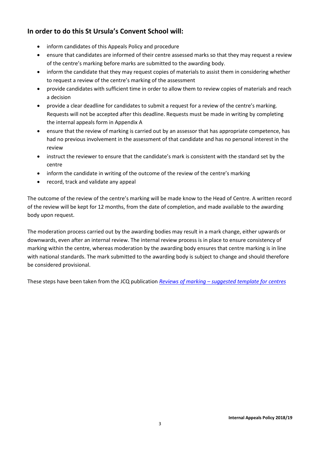## **In order to do this St Ursula's Convent School will:**

- inform candidates of this Appeals Policy and procedure
- ensure that candidates are informed of their centre assessed marks so that they may request a review of the centre's marking before marks are submitted to the awarding body.
- inform the candidate that they may request copies of materials to assist them in considering whether to request a review of the centre's marking of the assessment
- provide candidates with sufficient time in order to allow them to review copies of materials and reach a decision
- provide a clear deadline for candidates to submit a request for a review of the centre's marking. Requests will not be accepted after this deadline. Requests must be made in writing by completing the internal appeals form in Appendix A
- ensure that the review of marking is carried out by an assessor that has appropriate competence, has had no previous involvement in the assessment of that candidate and has no personal interest in the review
- instruct the reviewer to ensure that the candidate's mark is consistent with the standard set by the centre
- inform the candidate in writing of the outcome of the review of the centre's marking
- record, track and validate any appeal

The outcome of the review of the centre's marking will be made know to the Head of Centre. A written record of the review will be kept for 12 months, from the date of completion, and made available to the awarding body upon request.

The moderation process carried out by the awarding bodies may result in a mark change, either upwards or downwards, even after an internal review. The internal review process is in place to ensure consistency of marking within the centre, whereas moderation by the awarding body ensures that centre marking is in line with national standards. The mark submitted to the awarding body is subject to change and should therefore be considered provisional.

These steps have been taken from the JCQ publication *Reviews of marking – [suggested template for centres](https://www.jcq.org.uk/exams-office/non-examination-assessments/instructions-for-conducting-non-examined-assessments---a-suggested-template-2018-2019)*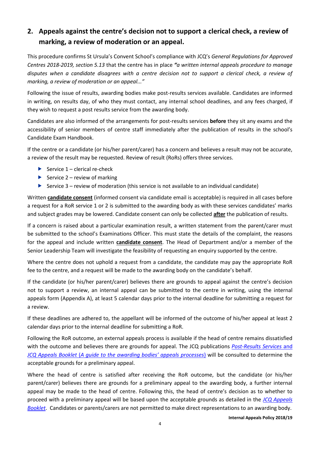## **2. Appeals against the centre's decision not to support a clerical check, a review of marking, a review of moderation or an appeal.**

This procedure confirms St Ursula's Convent School's compliance with JCQ's *General Regulations for Approved Centres 2018-2019, section 5.13* that the centre has in place *"a written internal appeals procedure to manage disputes when a candidate disagrees with a centre decision not to support a clerical check, a review of marking, a review of moderation or an appeal..."*

Following the issue of results, awarding bodies make post-results services available. Candidates are informed in writing, on results day, of who they must contact, any internal school deadlines, and any fees charged, if they wish to request a post results service from the awarding body.

Candidates are also informed of the arrangements for post-results services **before** they sit any exams and the accessibility of senior members of centre staff immediately after the publication of results in the school's Candidate Exam Handbook.

If the centre or a candidate (or his/her parent/carer) has a concern and believes a result may not be accurate, a review of the result may be requested. Review of result (RoRs) offers three services.

- Service  $1$  clerical re-check
- Service  $2$  review of marking
- Service 3 review of moderation (this service is not available to an individual candidate)

Written **candidate consent** (informed consent via candidate email is acceptable) is required in all cases before a request for a RoR service 1 or 2 is submitted to the awarding body as with these services candidates' marks and subject grades may be lowered. Candidate consent can only be collected **after** the publication of results.

If a concern is raised about a particular examination result, a written statement from the parent/carer must be submitted to the school's Examinations Officer. This must state the details of the complaint, the reasons for the appeal and include written **candidate consent**. The Head of Department and/or a member of the Senior Leadership Team will investigate the feasibility of requesting an enquiry supported by the centre.

Where the centre does not uphold a request from a candidate, the candidate may pay the appropriate RoR fee to the centre, and a request will be made to the awarding body on the candidate's behalf.

If the candidate (or his/her parent/carer) believes there are grounds to appeal against the centre's decision not to support a review, an internal appeal can be submitted to the centre in writing, using the internal appeals form (Appendix A), at least 5 calendar days prior to the internal deadline for submitting a request for a review.

If these deadlines are adhered to, the appellant will be informed of the outcome of his/her appeal at least 2 calendar days prior to the internal deadline for submitting a RoR.

Following the RoR outcome, an external appeals process is available if the head of centre remains dissatisfied with the outcome and believes there are grounds for appeal. The JCQ publications *[Post-Results Services](https://www.jcq.org.uk/exams-office/post-results-services)* and *JCQ Appeals Booklet* (*[A guide to the awarding bodies' appeals processes](https://www.jcq.org.uk/exams-office/post-results-services)*) will be consulted to determine the acceptable grounds for a preliminary appeal.

Where the head of centre is satisfied after receiving the RoR outcome, but the candidate (or his/her parent/carer) believes there are grounds for a preliminary appeal to the awarding body, a further internal appeal may be made to the head of centre. Following this, the head of centre's decision as to whether to proceed with a preliminary appeal will be based upon the acceptable grounds as detailed in the *[JCQ Appeals](https://www.jcq.org.uk/exams-office/appeals)  [Booklet](https://www.jcq.org.uk/exams-office/appeals)*. Candidates or parents/carers are not permitted to make direct representations to an awarding body.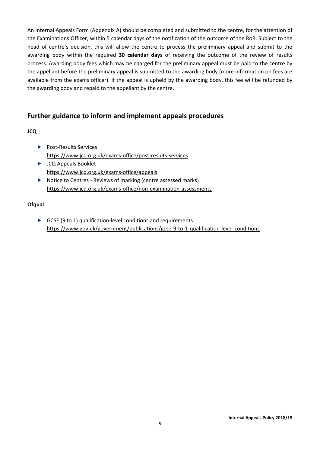An Internal Appeals Form (Appendix A) should be completed and submitted to the centre, for the attention of the Examinations Officer, within 5 calendar days of the notification of the outcome of the RoR. Subject to the head of centre's decision, this will allow the centre to process the preliminary appeal and submit to the awarding body within the required **30 calendar days** of receiving the outcome of the review of results process. Awarding body fees which may be charged for the preliminary appeal must be paid to the centre by the appellant before the preliminary appeal is submitted to the awarding body (more information on fees are available from the exams officer). If the appeal is upheld by the awarding body, this fee will be refunded by the awarding body and repaid to the appellant by the centre.

### **Further guidance to inform and implement appeals procedures**

### **JCQ**

- ▶ Post-Results Services <https://www.jcq.org.uk/exams-office/post-results-services>
- **DEDITION** JCQ Appeals Booklet <https://www.jcq.org.uk/exams-office/appeals>
- ▶ Notice to Centres Reviews of marking (centre assessed marks) <https://www.jcq.org.uk/exams-office/non-examination-assessments>

#### **Ofqual**

GCSE (9 to 1) qualification-level conditions and requirements <https://www.gov.uk/government/publications/gcse-9-to-1-qualification-level-conditions>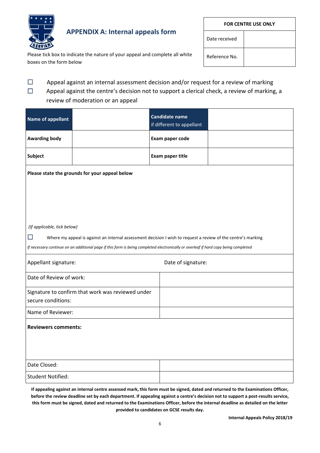

# **APPENDIX A: Internal appeals form**

Please tick box to indicate the nature of your appeal and complete all white boxes on the form below

| <b>FOR CENTRE USE ONLY</b> |  |  |
|----------------------------|--|--|
| Date received              |  |  |
| Reference No.              |  |  |

 $\square$  Appeal against an internal assessment decision and/or request for a review of marking  $\Box$  Appeal against the centre's decision not to support a clerical check, a review of marking, a

review of moderation or an appeal

|                                                                                                                                     | <b>Candidate name</b><br>if different to appellant |  |  |  |
|-------------------------------------------------------------------------------------------------------------------------------------|----------------------------------------------------|--|--|--|
|                                                                                                                                     | Exam paper code                                    |  |  |  |
|                                                                                                                                     | Exam paper title                                   |  |  |  |
| Please state the grounds for your appeal below                                                                                      |                                                    |  |  |  |
|                                                                                                                                     |                                                    |  |  |  |
|                                                                                                                                     |                                                    |  |  |  |
| (If applicable, tick below)                                                                                                         |                                                    |  |  |  |
| $\Box$<br>Where my appeal is against an internal assessment decision I wish to request a review of the centre's marking             |                                                    |  |  |  |
| If necessary continue on an additional page if this form is being completed electronically or overleaf if hard copy being completed |                                                    |  |  |  |
| Appellant signature:<br>Date of signature:                                                                                          |                                                    |  |  |  |
| Date of Review of work:                                                                                                             |                                                    |  |  |  |
| Signature to confirm that work was reviewed under                                                                                   |                                                    |  |  |  |
| secure conditions:                                                                                                                  |                                                    |  |  |  |
| Name of Reviewer:                                                                                                                   |                                                    |  |  |  |
| <b>Reviewers comments:</b>                                                                                                          |                                                    |  |  |  |
|                                                                                                                                     |                                                    |  |  |  |
|                                                                                                                                     |                                                    |  |  |  |
|                                                                                                                                     |                                                    |  |  |  |
|                                                                                                                                     |                                                    |  |  |  |
|                                                                                                                                     |                                                    |  |  |  |

**If appealing against an internal centre assessed mark, this form must be signed, dated and returned to the Examinations Officer, before the review deadline set by each department. If appealing against a centre's decision not to support a post-results service, this form must be signed, dated and returned to the Examinations Officer, before the internal deadline as detailed on the letter provided to candidates on GCSE results day.**